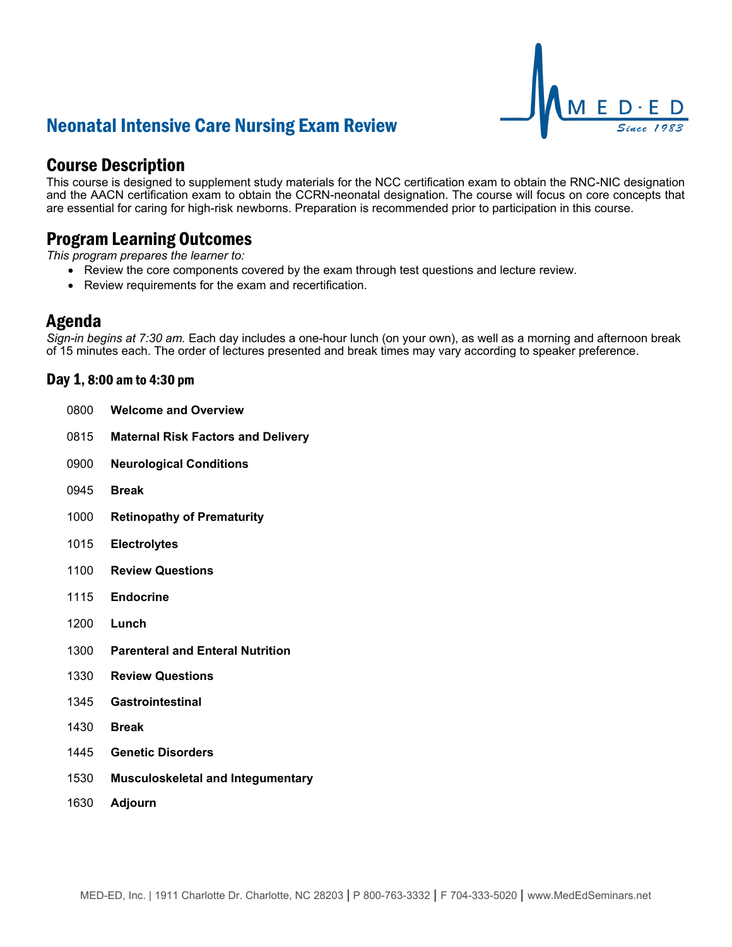# Neonatal Intensive Care Nursing Exam Review



## Course Description

This course is designed to supplement study materials for the NCC certification exam to obtain the RNC-NIC designation and the AACN certification exam to obtain the CCRN-neonatal designation. The course will focus on core concepts that are essential for caring for high-risk newborns. Preparation is recommended prior to participation in this course.

## Program Learning Outcomes

*This program prepares the learner to:*

- Review the core components covered by the exam through test questions and lecture review.
- Review requirements for the exam and recertification.

### Agenda

*Sign-in begins at 7:30 am.* Each day includes a one-hour lunch (on your own), as well as a morning and afternoon break of 15 minutes each. The order of lectures presented and break times may vary according to speaker preference.

### Day 1, 8:00 am to 4:30 pm

| 0800 | <b>Welcome and Overview</b>               |
|------|-------------------------------------------|
| 0815 | <b>Maternal Risk Factors and Delivery</b> |
| 0900 | <b>Neurological Conditions</b>            |
| 0945 | <b>Break</b>                              |
| 1000 | <b>Retinopathy of Prematurity</b>         |
| 1015 | <b>Electrolytes</b>                       |
| 1100 | <b>Review Questions</b>                   |
| 1115 | <b>Endocrine</b>                          |
| 1200 | Lunch                                     |
| 1300 | <b>Parenteral and Enteral Nutrition</b>   |
| 1330 | <b>Review Questions</b>                   |
| 1345 | Gastrointestinal                          |
| 1430 | <b>Break</b>                              |
| 1445 | <b>Genetic Disorders</b>                  |
| 1530 | <b>Musculoskeletal and Integumentary</b>  |
| 1630 | Adjourn                                   |